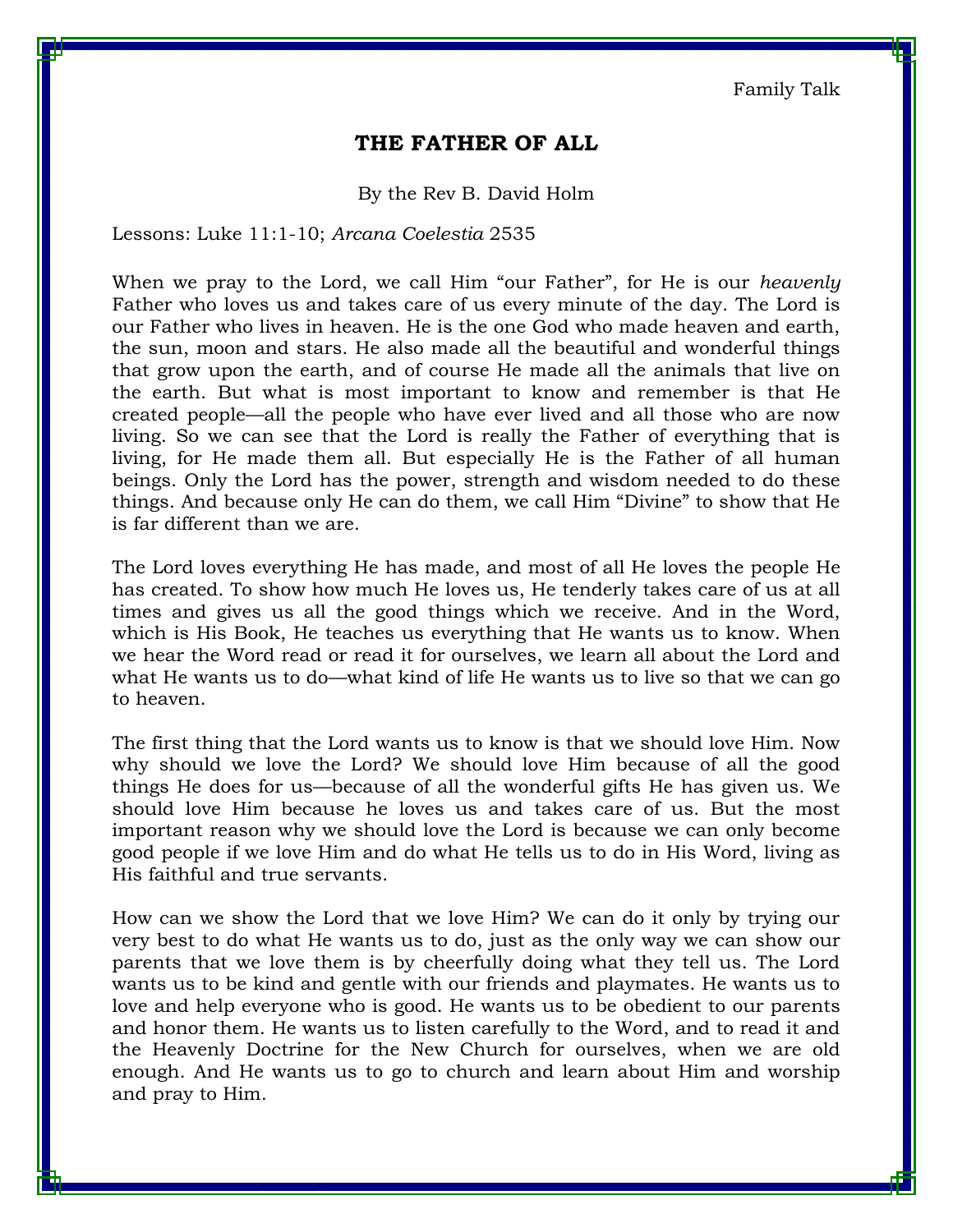Family Talk

## **THE FATHER OF ALL**

By the Rev B. David Holm

Lessons: Luke 11:1-10; *Arcana Coelestia* 2535

When we pray to the Lord, we call Him "our Father", for He is our *heavenly* Father who loves us and takes care of us every minute of the day. The Lord is our Father who lives in heaven. He is the one God who made heaven and earth, the sun, moon and stars. He also made all the beautiful and wonderful things that grow upon the earth, and of course He made all the animals that live on the earth. But what is most important to know and remember is that He created people—all the people who have ever lived and all those who are now living. So we can see that the Lord is really the Father of everything that is living, for He made them all. But especially He is the Father of all human beings. Only the Lord has the power, strength and wisdom needed to do these things. And because only He can do them, we call Him "Divine" to show that He is far different than we are.

The Lord loves everything He has made, and most of all He loves the people He has created. To show how much He loves us, He tenderly takes care of us at all times and gives us all the good things which we receive. And in the Word, which is His Book, He teaches us everything that He wants us to know. When we hear the Word read or read it for ourselves, we learn all about the Lord and what He wants us to do—what kind of life He wants us to live so that we can go to heaven.

The first thing that the Lord wants us to know is that we should love Him. Now why should we love the Lord? We should love Him because of all the good things He does for us—because of all the wonderful gifts He has given us. We should love Him because he loves us and takes care of us. But the most important reason why we should love the Lord is because we can only become good people if we love Him and do what He tells us to do in His Word, living as His faithful and true servants.

How can we show the Lord that we love Him? We can do it only by trying our very best to do what He wants us to do, just as the only way we can show our parents that we love them is by cheerfully doing what they tell us. The Lord wants us to be kind and gentle with our friends and playmates. He wants us to love and help everyone who is good. He wants us to be obedient to our parents and honor them. He wants us to listen carefully to the Word, and to read it and the Heavenly Doctrine for the New Church for ourselves, when we are old enough. And He wants us to go to church and learn about Him and worship and pray to Him.